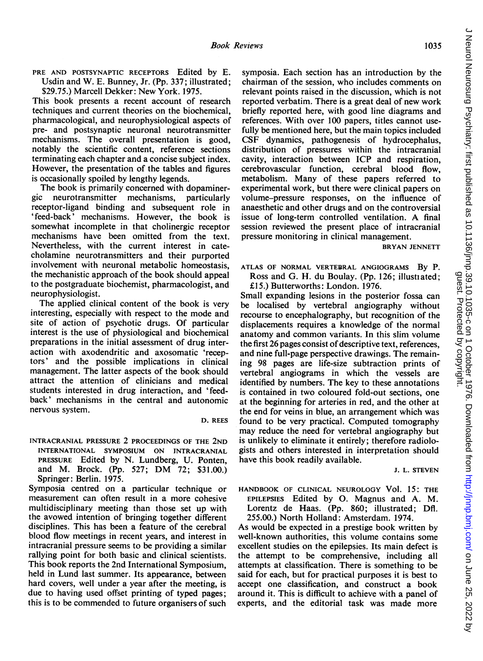PRE AND POSTSYNAPTIC RECEPTORS Edited by E. Usdin and W. E. Bunney, Jr. (Pp. 337; illustrated; \$29.75.) Marcell Dekker: New York. 1975.

This book presents a recent account of research techniques and current theories on the biochemical, pharmacological, and neurophysiological aspects of pre- and postsynaptic neuronal neurotransmitter mechanisms. The overall presentation is good, notably the scientific content, reference sections terminating each chapter and a concise subject index. However, the presentation of the tables and figures is occasionally spoiled by lengthy legends.

The book is primarily concerned with dopamine-<br>gic neurotransmitter mechanisms. particularly neurotransmitter mechanisms, particularly receptor-ligand binding and subsequent role in 'feed-back' mechanisms. However, the book is somewhat incomplete in that cholinergic receptor mechanisms have been omitted from the text. Nevertheless, with the current interest in catecholamine neurotransmitters and their purported involvement with neuronal metabolic homeostasis, the mechanistic approach of the book should appeal to the postgraduate biochemist, pharmacologist, and neurophysiologist.

The applied clinical content of the book is very interesting, especially with respect to the mode and site of action of psychotic drugs. Of particular interest is the use of physiological and biochemical preparations in the initial assessment of drug interaction with axodendritic and axosomatic 'receptors' and the possible implications in clinical management. The latter aspects of the book should attract the attention of clinicians and medical students interested in drug interaction, and 'feedback' mechanisms in the central and autonomic nervous system.

D. REES

INTRACRANIAL PRESSURE 2 PROCEEDINGS OF THE 2ND INTERNATIONAL SYMPOSIUM ON INTRACRANIAL PRESSURE Edited by N. Lundberg, U. Ponten, and M. Brock. (Pp. 527; DM 72; \$31.00.) Springer: Berlin. 1975.

Symposia centred on a particular technique or measurement can often result in <sup>a</sup> more cohesive multidisciplinary meeting than those set up with the avowed intention of bringing together different disciplines. This has been a feature of the cerebral blood flow meetings in recent years, and interest in intracranial pressure seems to be providing a similar rallying point for both basic and clinical scientists. This book reports the 2nd International Symposium, held in Lund last summer. Its appearance, between hard covers, well under a year after the meeting, is due to having used offset printing of typed pages; this is to be commended to future organisers of such

symposia. Each section has an introduction by the chairman of the session, who includes comments on relevant points raised in the discussion, which is not reported verbatim. There is a great deal of new work briefly reported here, with good line diagrams and references. With over 100 papers, titles cannot usefully be mentioned here, but the main topics included CSF dynamics, pathogenesis of hydrocephalus, distribution of pressures within the intracranial cavity, interaction between ICP and respiration, cerebrovascular function, cerebral blood flow, metabolism. Many of these papers referred to experimental work, but there were clinical papers on volume-pressure responses, on the influence of anaesthetic and other drugs and on the controversial issue of long-term controlled ventilation. A final session reviewed the present place of intracranial pressure monitoring in clinical management.

BRYAN JENNETT

ATLAS OF NORMAL VERTEBRAL ANGIOGRAMS By P. Ross and G. H. du Boulay. (Pp. 126; illustiated; £15.) Butterworths: London. 1976.

Small expanding lesions in the posterior fossa can be localised by vertebral angiography without recourse to encephalography, but recognition of the displacements requires a knowledge of the normal anatomy and common variants. In this slim volume the first 26 pages consist of descriptive text, references, and nine full-page perspective drawings. The remaining 98 pages are life-size subtraction prints of vertebral angiograms in which the vessels are identified by numbers. The key to these annotations is contained in two coloured fold-out sections, one at the beginning for arteries in red, and the other at the end for veins in blue, an arrangement which was found to be very practical. Computed tomography may reduce the need for vertebral angiography but is unlikely to eliminate it entirely; therefore radiologists and others interested in interpretation should have this book readily available.

J. L. STEVEN

HANDBOOK OF CLINICAL NEUROLOGY Vol. 15: THE EPILEPSIES Edited by 0. Magnus and A. M. Lorentz de Haas. (Pp. 860; illustrated; Dfl. 255.00.) North Holland: Amsterdam. 1974.

As would be expected in a prestige book written by well-known authorities, this volume contains some excellent studies on the epilepsies. Its main defect is the attempt to be comprehensive, including all attempts at classification. There is something to be said for each, but for practical purposes it is best to accept one classification, and construct a book around it. This is difficult to achieve with a panel of experts, and the editorial task was made more